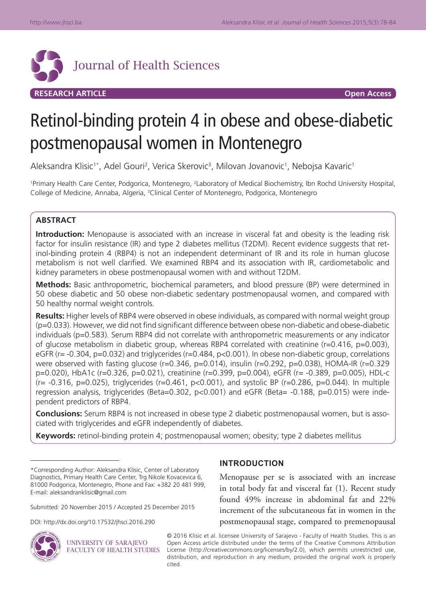

# Retinol-binding protein 4 in obese and obese-diabetic postmenopausal women in Montenegro

Aleksandra Klisic<sup>1\*</sup>, Adel Gouri<sup>2</sup>, Verica Skerovic<sup>3</sup>, Milovan Jovanovic<sup>1</sup>, Nebojsa Kavaric<sup>1</sup>

<sup>1</sup>Primary Health Care Center, Podgorica, Montenegro, <sup>2</sup>Laboratory of Medical Biochemistry, Ibn Rochd University Hospital, College of Medicine, Annaba, Algeria, <sup>3</sup>Clinical Center of Montenegro, Podgorica, Montenegro

# **ABSTRACT**

**Introduction:** Menopause is associated with an increase in visceral fat and obesity is the leading risk factor for insulin resistance (IR) and type 2 diabetes mellitus (T2DM). Recent evidence suggests that retinol-binding protein 4 (RBP4) is not an independent determinant of IR and its role in human glucose metabolism is not well clarified. We examined RBP4 and its association with IR, cardiometabolic and kidney parameters in obese postmenopausal women with and without T2DM.

**Methods:** Basic anthropometric, biochemical parameters, and blood pressure (BP) were determined in 50 obese diabetic and 50 obese non-diabetic sedentary postmenopausal women, and compared with 50 healthy normal weight controls.

**Results:** Higher levels of RBP4 were observed in obese individuals, as compared with normal weight group (p=0.033). However, we did not find significant difference between obese non-diabetic and obese-diabetic individuals (p=0.583). Serum RBP4 did not correlate with anthropometric measurements or any indicator of glucose metabolism in diabetic group, whereas RBP4 correlated with creatinine (r=0.416, p=0.003), eGFR (r= -0.304, p=0.032) and triglycerides (r=0.484, p<0.001). In obese non-diabetic group, correlations were observed with fasting glucose ( $r=0.346$ ,  $p=0.014$ ), insulin ( $r=0.292$ ,  $p=0.038$ ), HOMA-IR ( $r=0.329$ p=0.020), HbA1c (r=0.326, p=0.021), creatinine (r=0.399, p=0.004), eGFR (r= -0.389, p=0.005), HDL-c  $(r= -0.316, p=0.025)$ , triglycerides (r=0.461, p<0.001), and systolic BP (r=0.286, p=0.044). In multiple regression analysis, triglycerides (Beta=0.302, p<0.001) and eGFR (Beta= -0.188, p=0.015) were independent predictors of RBP4.

**Conclusions:** Serum RBP4 is not increased in obese type 2 diabetic postmenopausal women, but is associated with triglycerides and eGFR independently of diabetes.

**Keywords:** retinol-binding protein 4; postmenopausal women; obesity; type 2 diabetes mellitus

DOI: http://dx.doi.org/10.17532/jhsci.2016.290



UNIVERSITY OF SARAJEVO FACULTY OF HEALTH STUDIES

## **INTRODUCTION**

Menopause per se is associated with an increase in total body fat and visceral fat (1). Recent study found 49% increase in abdominal fat and 22% increment of the subcutaneous fat in women in the postmenopausal stage, compared to premenopausal

© 2016 Klisic et al. licensee University of Sarajevo - Faculty of Health Studies. This is an Open Access article distributed under the terms of the Creative Commons Attribution License (http://creativecommons.org/licenses/by/2.0), which permits unrestricted use, distribution, and reproduction in any medium, provided the original work is properly cited.

<sup>\*</sup>Corresponding Author: Aleksandra Klisic, Center of Laboratory Diagnostics, Primary Health Care Center, Trg Nikole Kovacevica 6, 81000 Podgorica, Montenegro, Phone and Fax: +382 20 481 999, E-mail: aleksandranklisic@gmail.com

Submitted: 20 November 2015 / Accepted 25 December 2015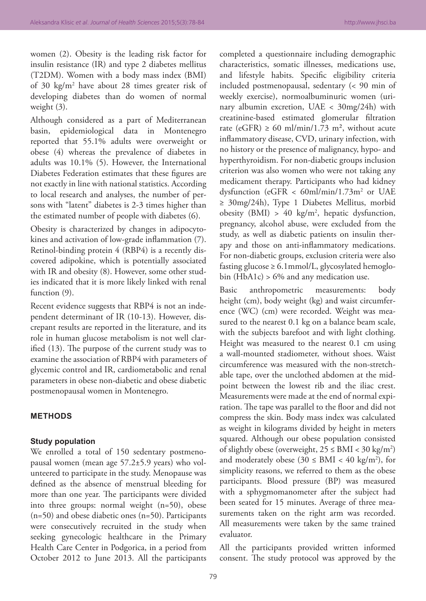women (2). Obesity is the leading risk factor for insulin resistance (IR) and type 2 diabetes mellitus (T2DM). Women with a body mass index (BMI) of 30 kg/m2 have about 28 times greater risk of developing diabetes than do women of normal weight (3).

Although considered as a part of Mediterranean basin, epidemiological data in Montenegro reported that 55.1% adults were overweight or obese (4) whereas the prevalence of diabetes in adults was 10.1% (5). However, the International Diabetes Federation estimates that these figures are not exactly in line with national statistics. According to local research and analyses, the number of persons with "latent" diabetes is 2-3 times higher than the estimated number of people with diabetes (6).

Obesity is characterized by changes in adipocytokines and activation of low-grade inflammation (7). Retinol-binding protein 4 (RBP4) is a recently discovered adipokine, which is potentially associated with IR and obesity (8). However, some other studies indicated that it is more likely linked with renal function  $(9)$ .

Recent evidence suggests that RBP4 is not an independent determinant of IR (10-13). However, discrepant results are reported in the literature, and its role in human glucose metabolism is not well clarified (13). The purpose of the current study was to examine the association of RBP4 with parameters of glycemic control and IR, cardiometabolic and renal parameters in obese non-diabetic and obese diabetic postmenopausal women in Montenegro.

## **METHODS**

#### **Study population**

We enrolled a total of 150 sedentary postmenopausal women (mean age 57.2±5.9 years) who volunteered to participate in the study. Menopause was defined as the absence of menstrual bleeding for more than one year. The participants were divided into three groups: normal weight (n=50), obese (n=50) and obese diabetic ones (n=50). Participants were consecutively recruited in the study when seeking gynecologic healthcare in the Primary Health Care Center in Podgorica, in a period from October 2012 to June 2013. All the participants

completed a questionnaire including demographic characteristics, somatic illnesses, medications use, and lifestyle habits. Specific eligibility criteria included postmenopausal, sedentary (< 90 min of weekly exercise), normoalbuminuric women (urinary albumin excretion, UAE < 30mg/24h) with creatinine-based estimated glomerular filtration rate (eGFR)  $\geq$  60 ml/min/1.73 m<sup>2</sup>, without acute inflammatory disease, CVD, urinary infection, with no history or the presence of malignancy, hypo- and hyperthyroidism. For non-diabetic groups inclusion criterion was also women who were not taking any medicament therapy. Participants who had kidney dysfunction (eGFR < 60ml/min/1.73m2 or UAE ≥ 30mg/24h), Type 1 Diabetes Mellitus, morbid obesity (BMI) > 40  $\text{kg/m}^2$ , hepatic dysfunction, pregnancy, alcohol abuse, were excluded from the study, as well as diabetic patients on insulin therapy and those on anti-inflammatory medications. For non-diabetic groups, exclusion criteria were also fasting glucose  $\geq 6.1$ mmol/L, glycosylated hemoglobin  $(HbA1c) > 6%$  and any medication use.

Basic anthropometric measurements: body height (cm), body weight (kg) and waist circumference (WC) (cm) were recorded. Weight was measured to the nearest 0.1 kg on a balance beam scale, with the subjects barefoot and with light clothing. Height was measured to the nearest 0.1 cm using a wall-mounted stadiometer, without shoes. Waist circumference was measured with the non-stretchable tape, over the unclothed abdomen at the midpoint between the lowest rib and the iliac crest. Measurements were made at the end of normal expiration. The tape was parallel to the floor and did not compress the skin. Body mass index was calculated as weight in kilograms divided by height in meters squared. Although our obese population consisted of slightly obese (overweight,  $25 \leq \text{BMI} < 30 \text{ kg/m}^2$ ) and moderately obese  $(30 \leq \text{BMI} < 40 \text{ kg/m}^2)$ , for simplicity reasons, we referred to them as the obese participants. Blood pressure (BP) was measured with a sphygmomanometer after the subject had been seated for 15 minutes. Average of three measurements taken on the right arm was recorded. All measurements were taken by the same trained evaluator.

All the participants provided written informed consent. The study protocol was approved by the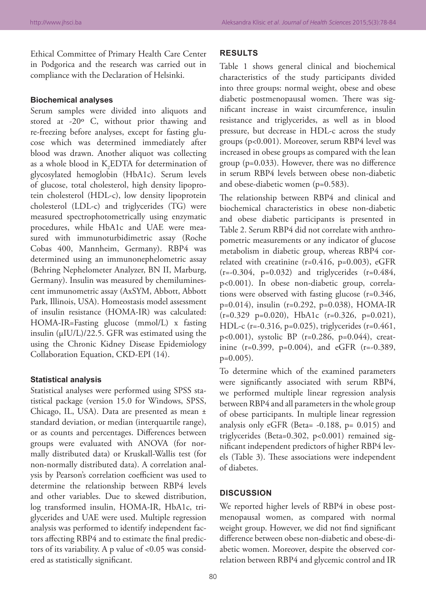Ethical Committee of Primary Health Care Center in Podgorica and the research was carried out in compliance with the Declaration of Helsinki.

#### **Biochemical analyses**

Serum samples were divided into aliquots and stored at -20º C, without prior thawing and re-freezing before analyses, except for fasting glucose which was determined immediately after blood was drawn. Another aliquot was collecting as a whole blood in  $K_2EDTA$  for determination of glycosylated hemoglobin (HbA1c). Serum levels of glucose, total cholesterol, high density lipoprotein cholesterol (HDL-c), low density lipoprotein cholesterol (LDL-c) and triglycerides (TG) were measured spectrophotometrically using enzymatic procedures, while HbA1c and UAE were measured with immunoturbidimetric assay (Roche Cobas 400, Mannheim, Germany). RBP4 was determined using an immunonephelometric assay (Behring Nephelometer Analyzer, BN II, Marburg, Germany). Insulin was measured by chemiluminescent immunometric assay (AxSYM, Abbott, Abbott Park, Illinois, USA). Homeostasis model assessment of insulin resistance (HOMA-IR) was calculated: HOMA-IR=Fasting glucose (mmol/L) x fasting insulin (µIU/L)/22.5. GFR was estimated using the using the Chronic Kidney Disease Epidemiology Collaboration Equation, CKD-EPI (14).

## **Statistical analysis**

Statistical analyses were performed using SPSS statistical package (version 15.0 for Windows, SPSS, Chicago, IL, USA). Data are presented as mean ± standard deviation, or median (interquartile range), or as counts and percentages. Differences between groups were evaluated with ANOVA (for normally distributed data) or Kruskall-Wallis test (for non-normally distributed data). A correlation analysis by Pearson's correlation coefficient was used to determine the relationship between RBP4 levels and other variables. Due to skewed distribution, log transformed insulin, HOMA-IR, HbA1c, triglycerides and UAE were used. Multiple regression analysis was performed to identify independent factors affecting RBP4 and to estimate the final predictors of its variability. A p value of <0.05 was considered as statistically significant.

## **RESULTS**

Table 1 shows general clinical and biochemical characteristics of the study participants divided into three groups: normal weight, obese and obese diabetic postmenopausal women. There was significant increase in waist circumference, insulin resistance and triglycerides, as well as in blood pressure, but decrease in HDL-c across the study groups (p<0.001). Moreover, serum RBP4 level was increased in obese groups as compared with the lean group (p=0.033). However, there was no difference in serum RBP4 levels between obese non-diabetic and obese-diabetic women (p=0.583).

The relationship between RBP4 and clinical and biochemical characteristics in obese non-diabetic and obese diabetic participants is presented in Table 2. Serum RBP4 did not correlate with anthropometric measurements or any indicator of glucose metabolism in diabetic group, whereas RBP4 correlated with creatinine (r=0.416, p=0.003), eGFR  $(r=-0.304, p=0.032)$  and triglycerides  $(r=0.484,$ p<0.001). In obese non-diabetic group, correlations were observed with fasting glucose (r=0.346, p=0.014), insulin (r=0.292, p=0.038), HOMA-IR  $(r=0.329 \text{ p}=0.020)$ , HbA1c  $(r=0.326, \text{ p}=0.021)$ , HDL-c (r=-0.316, p=0.025), triglycerides (r=0.461, p<0.001), systolic BP (r=0.286, p=0.044), creatinine (r=0.399, p=0.004), and eGFR (r=-0.389, p=0.005).

To determine which of the examined parameters were significantly associated with serum RBP4, we performed multiple linear regression analysis between RBP4 and all parameters in the whole group of obese participants. In multiple linear regression analysis only eGFR (Beta= -0.188, p= 0.015) and triglycerides (Beta=0.302, p<0.001) remained significant independent predictors of higher RBP4 levels (Table 3). These associations were independent of diabetes.

## **DISCUSSION**

We reported higher levels of RBP4 in obese postmenopausal women, as compared with normal weight group. However, we did not find significant difference between obese non-diabetic and obese-diabetic women. Moreover, despite the observed correlation between RBP4 and glycemic control and IR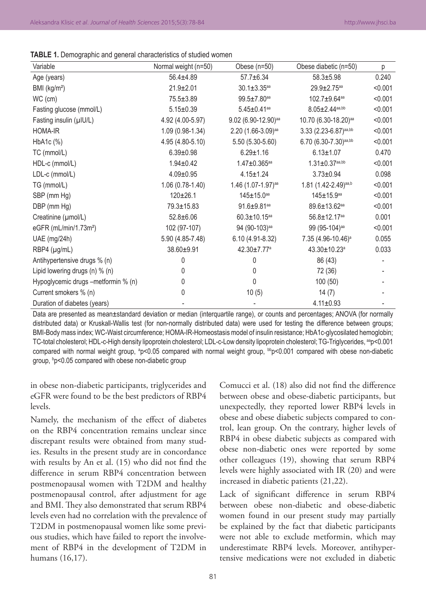| Variable                            | Normal weight (n=50) | Obese (n=50)                   | Obese diabetic (n=50)             | р       |
|-------------------------------------|----------------------|--------------------------------|-----------------------------------|---------|
| Age (years)                         | 56.4±4.89            | $57.7 \pm 6.34$                | $58.3 \pm 5.98$                   | 0.240   |
| BMI (kg/m <sup>2</sup> )            | $21.9 \pm 2.01$      | $30.1 \pm 3.35$ <sup>aa</sup>  | 29.9±2.75 <sup>aa</sup>           | < 0.001 |
| WC (cm)                             | $75.5 \pm 3.89$      | 99.5±7.80aa                    | 102.7±9.64 <sup>aa</sup>          | < 0.001 |
| Fasting glucose (mmol/L)            | $5.15 \pm 0.39$      | $5.45 \pm 0.41$ aa             | $8.05 \pm 2.44^{aa,bb}$           | < 0.001 |
| Fasting insulin (µIU/L)             | 4.92 (4.00-5.97)     | 9.02 (6.90-12.90)aa            | 10.70 (6.30-18.20)aa              | < 0.001 |
| HOMA-IR                             | 1.09 (0.98-1.34)     | $2.20$ (1.66-3.09)aa           | 3.33 (2.23-6.87) <sup>aa,bb</sup> | < 0.001 |
| HbA1c (%)                           | 4.95 (4.80-5.10)     | 5.50 (5.30-5.60)               | 6.70 (6.30-7.30)aa,bb             | < 0.001 |
| TC (mmol/L)                         | $6.39 \pm 0.98$      | $6.29 \pm 1.16$                | $6.13 \pm 1.07$                   | 0.470   |
| HDL-c (mmol/L)                      | $1.94 \pm 0.42$      | $1.47 \pm 0.365$ aa            | $1.31 \pm 0.37$ aa,bb             | < 0.001 |
| LDL-c (mmol/L)                      | $4.09 \pm 0.95$      | $4.15 \pm 1.24$                | $3.73 \pm 0.94$                   | 0.098   |
| TG (mmol/L)                         | $1.06(0.78-1.40)$    | 1.46 (1.07-1.97)aa             | 1.81 (1.42-2.49)aa,b              | < 0.001 |
| SBP (mm Hg)                         | $120 \pm 26.1$       | 145±15.0aa                     | 145±15.9 <sup>aa</sup>            | < 0.001 |
| DBP (mm Hg)                         | 79.3±15.83           | 91.6±9.81 <sup>aa</sup>        | 89.6±13.62 <sup>aa</sup>          | < 0.001 |
| Creatinine (µmol/L)                 | $52.8 \pm 6.06$      | $60.3 \pm 10.15$ <sup>aa</sup> | 56.8±12.17 <sup>aa</sup>          | 0.001   |
| eGFR (mL/min/1.73m <sup>2</sup> )   | 102 (97-107)         | 94 (90-103)aa                  | 99 (95-104) <sup>aa</sup>         | < 0.001 |
| UAE (mg/24h)                        | 5.90 (4.85-7.48)     | 6.10 (4.91-8.32)               | 7.35 (4.96-10.46) <sup>a</sup>    | 0.055   |
| $RBP4$ ( $\mu$ g/mL)                | 38.60±9.91           | 42.30±7.77 <sup>a</sup>        | 43.30±10.23 <sup>a</sup>          | 0.033   |
| Antihypertensive drugs % (n)        | 0                    | 0                              | 86 (43)                           |         |
| Lipid lowering drugs (n) % (n)      | 0                    | 0                              | 72 (36)                           |         |
| Hypoglycemic drugs -metformin % (n) | 0                    | 0                              | 100 (50)                          |         |
| Current smokers % (n)               | 0                    | 10(5)                          | 14(7)                             |         |
| Duration of diabetes (years)        |                      |                                | $4.11 \pm 0.93$                   |         |

Data are presented as mean±standard deviation or median (interquartile range), or counts and percentages; ANOVA (for normally distributed data) or Kruskall-Wallis test (for non-normally distributed data) were used for testing the difference between groups; BMI-Body mass index; WC-Waist circumference; HOMA-IR-Homeostasis model of insulin resistance; HbA1c-glycosilated hemoglobin; TC-total cholesterol; HDL-c-High density lipoprotein cholesterol; LDL-c-Low density lipoprotein cholesterol; TG-Triglycerides, <sup>aa</sup>p<0.001 compared with normal weight group, ªp<0.05 compared with normal weight group, <sup>bb</sup>p<0.001 compared with obese non-diabetic group, ʰp<0.05 compared with obese non-diabetic group

in obese non-diabetic participants, triglycerides and eGFR were found to be the best predictors of RBP4 levels.

Namely, the mechanism of the effect of diabetes on the RBP4 concentration remains unclear since discrepant results were obtained from many studies. Results in the present study are in concordance with results by An et al. (15) who did not find the difference in serum RBP4 concentration between postmenopausal women with T2DM and healthy postmenopausal control, after adjustment for age and BMI. They also demonstrated that serum RBP4 levels even had no correlation with the prevalence of T2DM in postmenopausal women like some previous studies, which have failed to report the involvement of RBP4 in the development of T2DM in humans (16,17).

Comucci et al. (18) also did not find the difference between obese and obese-diabetic participants, but unexpectedly, they reported lower RBP4 levels in obese and obese diabetic subjects compared to control, lean group. On the contrary, higher levels of RBP4 in obese diabetic subjects as compared with obese non-diabetic ones were reported by some other colleagues (19), showing that serum RBP4 levels were highly associated with IR (20) and were increased in diabetic patients (21,22).

Lack of significant difference in serum RBP4 between obese non-diabetic and obese-diabetic women found in our present study may partially be explained by the fact that diabetic participants were not able to exclude metformin, which may underestimate RBP4 levels. Moreover, antihypertensive medications were not excluded in diabetic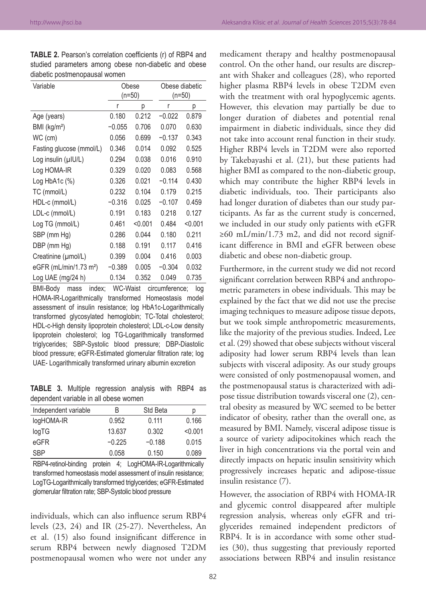| Variable                           | Obese    |         | Obese diabetic |         |
|------------------------------------|----------|---------|----------------|---------|
|                                    | $(n=50)$ |         | (n=50)         |         |
|                                    | r        | р       | r              | р       |
| Age (years)                        | 0.180    | 0.212   | $-0.022$       | 0.879   |
| BMI (kg/m <sup>2</sup> )           | $-0.055$ | 0.706   | 0.070          | 0.630   |
| WC (cm)                            | 0.056    | 0.699   | $-0.137$       | 0.343   |
| Fasting glucose (mmol/L)           | 0.346    | 0.014   | 0.092          | 0.525   |
| Log insulin $(\mu   U/L)$          | 0.294    | 0.038   | 0.016          | 0.910   |
| Log HOMA-IR                        | 0.329    | 0.020   | 0.083          | 0.568   |
| Log $HbA1c$ $(\%)$                 | 0.326    | 0.021   | $-0.114$       | 0.430   |
| TC (mmol/L)                        | 0.232    | 0.104   | 0.179          | 0.215   |
| HDL-c (mmol/L)                     | $-0.316$ | 0.025   | $-0.107$       | 0.459   |
| LDL-c (mmol/L)                     | 0.191    | 0.183   | 0.218          | 0.127   |
| Log TG (mmol/L)                    | 0.461    | < 0.001 | 0.484          | < 0.001 |
| SBP (mm Hg)                        | 0.286    | 0.044   | 0.180          | 0.211   |
| DBP (mm Hg)                        | 0.188    | 0.191   | 0.117          | 0.416   |
| Creatinine (umol/L)                | 0.399    | 0.004   | 0.416          | 0.003   |
| eGFR (mL/min/1.73 m <sup>2</sup> ) | $-0.389$ | 0.005   | $-0.304$       | 0.032   |
| Log UAE (mg/24 h)                  | 0.134    | 0.352   | 0.049          | 0.735   |

**TABLE 2.** Pearson's correlation coefficients (r) of RBP4 and studied parameters among obese non-diabetic and obese diabetic postmenopausal women

BMI-Body mass index; WC-Waist circumference; log HOMA‑IR‑Logarithmically transformed Homeostasis model assessment of insulin resistance; log HbA1c-Logarithmically transformed glycosylated hemoglobin; TC‑Total cholesterol; HDL-c-High density lipoprotein cholesterol; LDL-c-Low density lipoprotein cholesterol; log TG‑Logarithmically transformed triglycerides; SBP‑Systolic blood pressure; DBP‑Diastolic blood pressure; eGFR‑Estimated glomerular filtration rate; log UAE‑ Logarithmically transformed urinary albumin excretion

**TABLE 3.** Multiple regression analysis with RBP4 as dependent variable in all obese women

| Independent variable | B        | Std Beta | D       |
|----------------------|----------|----------|---------|
| logHOMA-IR           | 0.952    | 0.111    | 0.166   |
| log TG               | 13.637   | 0.302    | < 0.001 |
| eGFR                 | $-0.225$ | $-0.188$ | 0.015   |
| <b>SBP</b>           | 0.058    | 0.150    | 0.089   |

RBP4-retinol-binding protein 4; LogHOMA-IR-Logarithmically transformed homeostasis model assessment of insulin resistance; LogTG-Logarithmically transformed triglycerides; eGFR-Estimated glomerular filtration rate; SBP‑Systolic blood pressure

individuals, which can also influence serum RBP4 levels (23, 24) and IR (25-27). Nevertheless, An et al. (15) also found insignificant difference in serum RBP4 between newly diagnosed T2DM postmenopausal women who were not under any

medicament therapy and healthy postmenopausal control. On the other hand, our results are discrepant with Shaker and colleagues (28), who reported higher plasma RBP4 levels in obese T2DM even with the treatment with oral hypoglycemic agents. However, this elevation may partially be due to longer duration of diabetes and potential renal impairment in diabetic individuals, since they did not take into account renal function in their study. Higher RBP4 levels in T2DM were also reported by Takebayashi et al. (21), but these patients had higher BMI as compared to the non-diabetic group, which may contribute the higher RBP4 levels in diabetic individuals, too. Their participants also had longer duration of diabetes than our study participants. As far as the current study is concerned, we included in our study only patients with eGFR ≥60 mL/min/1.73 m2, and did not record significant difference in BMI and eGFR between obese diabetic and obese non-diabetic group.

Furthermore, in the current study we did not record significant correlation between RBP4 and anthropometric parameters in obese individuals. This may be explained by the fact that we did not use the precise imaging techniques to measure adipose tissue depots, but we took simple anthropometric measurements, like the majority of the previous studies. Indeed, Lee et al. (29) showed that obese subjects without visceral adiposity had lower serum RBP4 levels than lean subjects with visceral adiposity. As our study groups were consisted of only postmenopausal women, and the postmenopausal status is characterized with adipose tissue distribution towards visceral one (2), central obesity as measured by WC seemed to be better indicator of obesity, rather than the overall one, as measured by BMI. Namely, visceral adipose tissue is a source of variety adipocitokines which reach the liver in high concentrations via the portal vein and directly impacts on hepatic insulin sensitivity which progressively increases hepatic and adipose-tissue insulin resistance (7).

However, the association of RBP4 with HOMA-IR and glycemic control disappeared after multiple regression analysis, whereas only eGFR and triglycerides remained independent predictors of RBP4. It is in accordance with some other studies (30), thus suggesting that previously reported associations between RBP4 and insulin resistance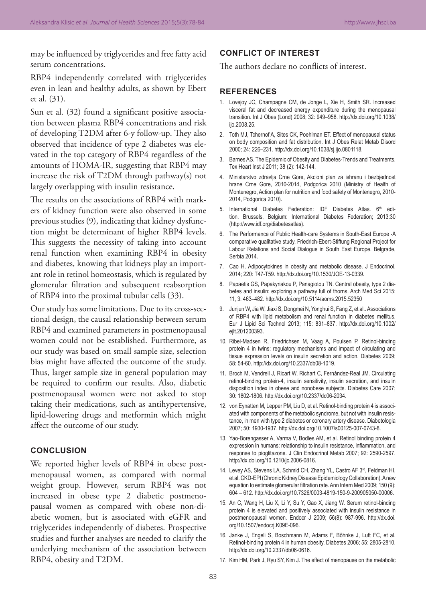may be influenced by triglycerides and free fatty acid serum concentrations.

RBP4 independently correlated with triglycerides even in lean and healthy adults, as shown by Ebert et al. (31).

Sun et al. (32) found a significant positive association between plasma RBP4 concentrations and risk of developing T2DM after 6-y follow-up. They also observed that incidence of type 2 diabetes was elevated in the top category of RBP4 regardless of the amounts of HOMA-IR, suggesting that RBP4 may increase the risk of T2DM through pathway(s) not largely overlapping with insulin resistance.

The results on the associations of RBP4 with markers of kidney function were also observed in some previous studies (9), indicating that kidney dysfunction might be determinant of higher RBP4 levels. This suggests the necessity of taking into account renal function when examining RBP4 in obesity and diabetes, knowing that kidneys play an important role in retinol homeostasis, which is regulated by glomerular filtration and subsequent reabsorption of RBP4 into the proximal tubular cells (33).

Our study has some limitations. Due to its cross-sectional design, the causal relationship between serum RBP4 and examined parameters in postmenopausal women could not be established. Furthermore, as our study was based on small sample size, selection bias might have affected the outcome of the study. Thus, larger sample size in general population may be required to confirm our results. Also, diabetic postmenopausal women were not asked to stop taking their medications, such as antihypertensive, lipid-lowering drugs and metformin which might affect the outcome of our study.

## **CONCLUSION**

We reported higher levels of RBP4 in obese postmenopausal women, as compared with normal weight group. However, serum RBP4 was not increased in obese type 2 diabetic postmenopausal women as compared with obese non-diabetic women, but is associated with eGFR and triglycerides independently of diabetes. Prospective studies and further analyses are needed to clarify the underlying mechanism of the association between RBP4, obesity and T2DM.

## **CONFLICT OF INTEREST**

The authors declare no conflicts of interest.

## **REFERENCES**

- 1. Lovejoy JC, Champagne CM, de Jonge L, Xie H, Smith SR. Increased visceral fat and decreased energy expenditure during the menopausal transition. Int J Obes (Lond) 2008; 32: 949–958. http://dx.doi.org/10.1038/ ijo.2008.25.
- 2. Toth MJ, Tchernof A, Sites CK, Poehlman ET. Effect of menopausal status on body composition and fat distribution. Int J Obes Relat Metab Disord 2000; 24: 226–231. http://dx.doi.org/10.1038/sj.ijo.0801118.
- 3. Barnes AS. The Epidemic of Obesity and Diabetes-Trends and Treatments. Tex Heart Inst J 2011; 38 (2): 142-144.
- 4. Ministarstvo zdravlja Crne Gore, Akcioni plan za ishranu i bezbjednost hrane Crne Gore, 2010-2014, Podgorica 2010 (Ministry of Health of Montenegro, Action plan for nutrition and food safety of Montenegro, 2010-2014, Podgorica 2010).
- 5. International Diabetes Federation: IDF Diabetes Atlas. 6<sup>th</sup> edition. Brussels, Belgium: International Diabetes Federation; 2013:30 (http://www.idf.org/diabetesatlas).
- 6. The Performance of Public Health-care Systems in South-East Europe -A comparative qualitative study. Friedrich-Ebert-Stiftung Regional Project for Labour Relations and Social Dialogue in South East Europe. Belgrade, Serbia 2014.
- 7. Cao H. Adipocytokines in obesity and metabolic disease. J Endocrinol. 2014; 220: T47-T59. http://dx.doi.org/10.1530/JOE-13-0339.
- 8. Papaetis GS, Papakyriakou P, Panagiotou TN. Central obesity, type 2 diabetes and insulin: exploring a pathway full of thorns. Arch Med Sci 2015; 11, 3: 463–482. http://dx.doi.org/10.5114/aoms.2015.52350
- 9. Junjun W, Jia W, Jiaxi S, Dongmei N, Yonghui S, Fang Z, et al.. Associations of RBP4 with lipid metabolism and renal function in diabetes mellitus. Eur J Lipid Sci Technol 2013; 115: 831–837. http://dx.doi.org/10.1002/ ejlt.201200393.
- 10. Ribel-Madsen R, Friedrichsen M, Vaag A, Poulsen P. Retinol-binding protein 4 in twins: regulatory mechanisms and impact of circulating and tissue expression levels on insulin secretion and action. Diabetes 2009; 58: 54-60. http://dx.doi.org/10.2337/db08-1019.
- 11. Broch M, Vendrell J, Ricart W, Richart C, Fernández-Real JM. Circulating retinol-binding protein-4, insulin sensitivity, insulin secretion, and insulin disposition index in obese and nonobese subjects. Diabetes Care 2007; 30: 1802-1806. http://dx.doi.org/10.2337/dc06-2034.
- 12. von Eynatten M, Lepper PM, Liu D, et al. Retinol-binding protein 4 is associated with components of the metabolic syndrome, but not with insulin resistance, in men with type 2 diabetes or coronary artery disease. Diabetologia 2007; 50: 1930-1937. http://dx.doi.org/10.1007/s00125-007-0743-8.
- 13. Yao-Borengasser A, Varma V, Bodles AM, et al. Retinol binding protein 4 expression in humans: relationship to insulin resistance, inflammation, and response to pioglitazone. J Clin Endocrinol Metab 2007; 92: 2590-2597. http://dx.doi.org/10.1210/jc.2006-0816.
- 14. Levey AS, Stevens LA, Schmid CH, Zhang YL, Castro AF 3<sup>rd</sup>, Feldman HI, et al. CKD-EPI (Chronic Kidney Disease Epidemiology Collaboration). A new equation to estimate glomerular filtration rate. Ann Intern Med 2009; 150 (9): 604 – 612. http://dx.doi.org/10.7326/0003-4819-150-9-200905050-00006.
- 15. An C, Wang H, Liu X, Li Y, Su Y, Gao X, Jiang W. Serum retinol-binding protein 4 is elevated and positively associated with insulin resistance in postmenopausal women. Endocr J 2009; 56(8): 987-996. http://dx.doi. org/10.1507/endocrj.K09E-096.
- 16. Janke J, Engeli S, Boschmann M, Adams F, Böhnke J, Luft FC, et al. Retinol-binding protein 4 in human obesity. Diabetes 2006; 55: 2805-2810. http://dx.doi.org/10.2337/db06-0616.
- 17. Kim HM, Park J, Ryu SY, Kim J. The effect of menopause on the metabolic